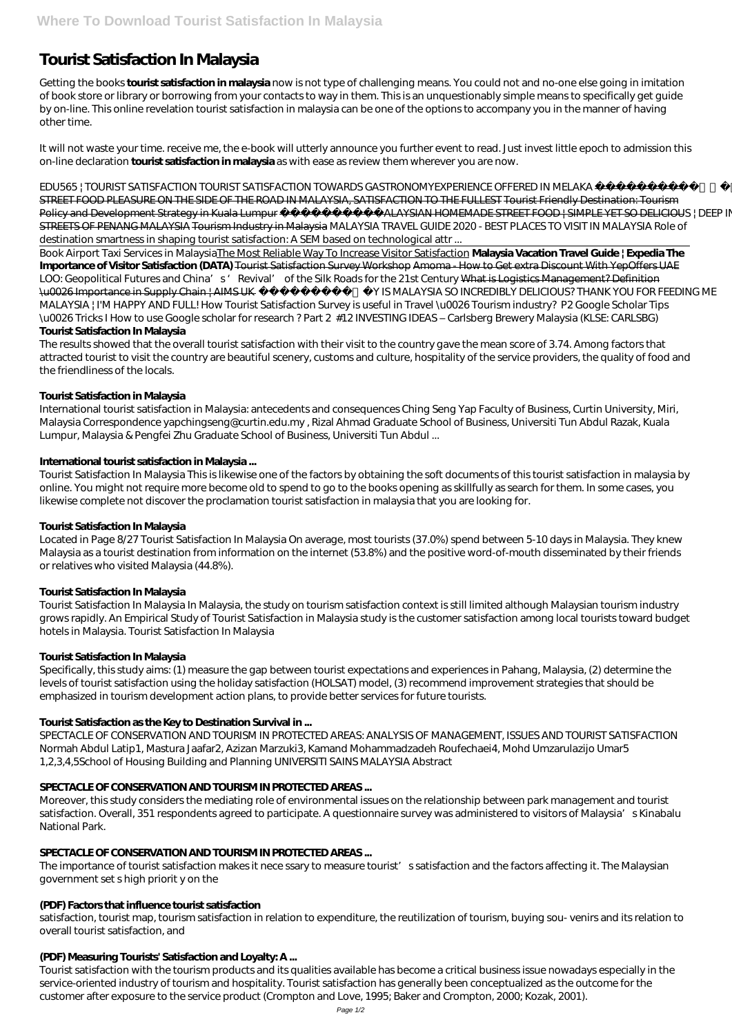# **Tourist Satisfaction In Malaysia**

Getting the books **tourist satisfaction in malaysia** now is not type of challenging means. You could not and no-one else going in imitation of book store or library or borrowing from your contacts to way in them. This is an unquestionably simple means to specifically get guide by on-line. This online revelation tourist satisfaction in malaysia can be one of the options to accompany you in the manner of having other time.

It will not waste your time. receive me, the e-book will utterly announce you further event to read. Just invest little epoch to admission this on-line declaration **tourist satisfaction in malaysia** as with ease as review them wherever you are now.

*EDU565 | TOURIST SATISFACTION TOURIST SATISFACTION TOWARDS GASTRONOMYEXPERIENCE OFFERED IN MELAKA* EXPERIENCED STREET FOOD PLEASURE ON THE SIDE OF THE ROAD IN MALAYSIA, SATISFACTION TO THE FULLEST Tourist Friendly Destination: Tourism Policy and Development Strategy in Kuala Lumpur MALAYSIAN HOMEMADE STREET FOOD | SIMPLE YET SO DELICIOUS | DEEP INSIDE STREETS OF PENANG MALAYSIA Tourism Industry in Malaysia MALAYSIA TRAVEL GUIDE 2020 - BEST PLACES TO VISIT IN MALAYSIA Role of destination smartness in shaping tourist satisfaction: A SEM based on technological attr ...

Book Airport Taxi Services in MalaysiaThe Most Reliable Way To Increase Visitor Satisfaction **Malaysia Vacation Travel Guide | Expedia The Importance of Visitor Satisfaction (DATA)** Tourist Satisfaction Survey Workshop Amoma - How to Get extra Discount With YepOffers UAE LOO: Geopolitical Futures and China's 'Revival' of the Silk Roads for the 21st Century What is Logistics Management? Definition \u0026 Importance in Supply Chain | AIMS UK  *WHY IS MALAYSIA SO INCREDIBLY DELICIOUS? THANK YOU FOR FEEDING ME MALAYSIA | I'M HAPPY AND FULL!* How Tourist Satisfaction Survey is useful in Travel \u0026 Tourism industry? *P2 Google Scholar Tips \u0026 Tricks I How to use Google scholar for research ? Part 2* #12 INVESTING IDEAS – Carlsberg Brewery Malaysia (KLSE: CARLSBG)

# **Tourist Satisfaction In Malaysia**

The results showed that the overall tourist satisfaction with their visit to the country gave the mean score of 3.74. Among factors that attracted tourist to visit the country are beautiful scenery, customs and culture, hospitality of the service providers, the quality of food and the friendliness of the locals.

# **Tourist Satisfaction in Malaysia**

International tourist satisfaction in Malaysia: antecedents and consequences Ching Seng Yap Faculty of Business, Curtin University, Miri, Malaysia Correspondence yapchingseng@curtin.edu.my , Rizal Ahmad Graduate School of Business, Universiti Tun Abdul Razak, Kuala Lumpur, Malaysia & Pengfei Zhu Graduate School of Business, Universiti Tun Abdul ...

The importance of tourist satisfaction makes it nece ssary to measure tourist's satisfaction and the factors affecting it. The Malaysian government set s high priorit y on the

# **International tourist satisfaction in Malaysia ...**

Tourist Satisfaction In Malaysia This is likewise one of the factors by obtaining the soft documents of this tourist satisfaction in malaysia by online. You might not require more become old to spend to go to the books opening as skillfully as search for them. In some cases, you likewise complete not discover the proclamation tourist satisfaction in malaysia that you are looking for.

# **Tourist Satisfaction In Malaysia**

Located in Page 8/27 Tourist Satisfaction In Malaysia On average, most tourists (37.0%) spend between 5-10 days in Malaysia. They knew Malaysia as a tourist destination from information on the internet (53.8%) and the positive word-of-mouth disseminated by their friends or relatives who visited Malaysia (44.8%).

# **Tourist Satisfaction In Malaysia**

Tourist Satisfaction In Malaysia In Malaysia, the study on tourism satisfaction context is still limited although Malaysian tourism industry grows rapidly. An Empirical Study of Tourist Satisfaction in Malaysia study is the customer satisfaction among local tourists toward budget hotels in Malaysia. Tourist Satisfaction In Malaysia

# **Tourist Satisfaction In Malaysia**

Specifically, this study aims: (1) measure the gap between tourist expectations and experiences in Pahang, Malaysia, (2) determine the levels of tourist satisfaction using the holiday satisfaction (HOLSAT) model, (3) recommend improvement strategies that should be emphasized in tourism development action plans, to provide better services for future tourists.

# **Tourist Satisfaction as the Key to Destination Survival in ...**

SPECTACLE OF CONSERVATION AND TOURISM IN PROTECTED AREAS: ANALYSIS OF MANAGEMENT, ISSUES AND TOURIST SATISFACTION Normah Abdul Latip1, Mastura Jaafar2, Azizan Marzuki3, Kamand Mohammadzadeh Roufechaei4, Mohd Umzarulazijo Umar5 1,2,3,4,5School of Housing Building and Planning UNIVERSITI SAINS MALAYSIA Abstract

## **SPECTACLE OF CONSERVATION AND TOURISM IN PROTECTED AREAS...**

Moreover, this study considers the mediating role of environmental issues on the relationship between park management and tourist satisfaction. Overall, 351 respondents agreed to participate. A questionnaire survey was administered to visitors of Malaysia's Kinabalu National Park.

## **SPECTACLE OF CONSERVATION AND TOURISM IN PROTECTED AREAS...**

#### **(PDF) Factors that influence tourist satisfaction**

satisfaction, tourist map, tourism satisfaction in relation to expenditure, the reutilization of tourism, buying sou- venirs and its relation to overall tourist satisfaction, and

## **(PDF) Measuring Tourists' Satisfaction and Loyalty: A ...**

Tourist satisfaction with the tourism products and its qualities available has become a critical business issue nowadays especially in the service-oriented industry of tourism and hospitality. Tourist satisfaction has generally been conceptualized as the outcome for the customer after exposure to the service product (Crompton and Love, 1995; Baker and Crompton, 2000; Kozak, 2001).